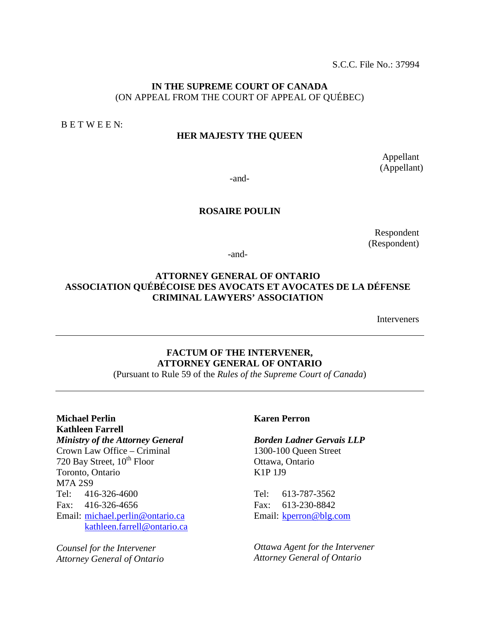S.C.C. File No.: 37994

#### **IN THE SUPREME COURT OF CANADA** (ON APPEAL FROM THE COURT OF APPEAL OF QUÉBEC)

B E T W E E N:

#### **HER MAJESTY THE QUEEN**

Appellant (Appellant)

-and-

#### **ROSAIRE POULIN**

Respondent (Respondent)

-and-

### **ATTORNEY GENERAL OF ONTARIO ASSOCIATION QUÉBÉCOISE DES AVOCATS ET AVOCATES DE LA DÉFENSE CRIMINAL LAWYERS' ASSOCIATION**

Interveners

# **FACTUM OF THE INTERVENER, ATTORNEY GENERAL OF ONTARIO**

(Pursuant to Rule 59 of the *Rules of the Supreme Court of Canada*)

#### **Michael Perlin Kathleen Farrell** *Ministry of the Attorney General*

Crown Law Office – Criminal 720 Bay Street, 10<sup>th</sup> Floor Toronto, Ontario M7A 2S9 Tel: 416-326-4600 Fax: 416-326-4656 Email: [michael.perlin@ontario.ca](mailto:michael.perlin@ontario.ca) [kathleen.farrell@ontario.ca](mailto:kathleen.farrell@ontario.ca)

*Counsel for the Intervener Attorney General of Ontario*

#### **Karen Perron**

#### *Borden Ladner Gervais LLP* 1300-100 Queen Street

Ottawa, Ontario K1P 1J9

Tel: 613-787-3562 Fax: 613-230-8842 Email: [kperron@blg.com](mailto:kperron@blg.com)

*Ottawa Agent for the Intervener Attorney General of Ontario*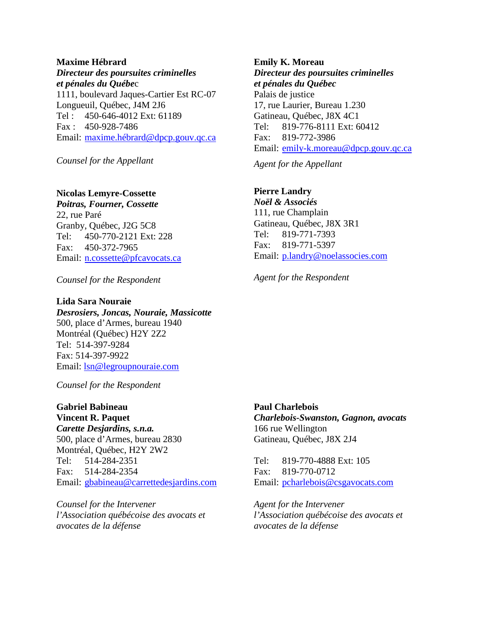#### **Maxime Hébrard**

*Directeur des poursuites criminelles et pénales du Québe*c 1111, boulevard Jaques-Cartier Est RC-07 Longueuil, Québec, J4M 2J6 Tel : 450-646-4012 Ext: 61189 Fax : 450-928-7486 Email: [maxime.hébrard@dpcp.gouv.qc.ca](mailto:maxime.hébrard@dpcp.gouv.qc.ca)

*Counsel for the Appellant*

### **Nicolas Lemyre-Cossette**

*Poitras, Fourner, Cossette* 22, rue Paré Granby, Québec, J2G 5C8 Tel: 450-770-2121 Ext: 228 Fax: 450-372-7965 Email: [n.cossette@pfcavocats.ca](mailto:n.cossette@pfcavocats.ca)

*Counsel for the Respondent*

#### **Lida Sara Nouraie**

*Desrosiers, Joncas, Nouraie, Massicotte* 500, place d'Armes, bureau 1940 Montréal (Québec) H2Y 2Z2 Tel: 514-397-9284 Fax: 514-397-9922 Email: [lsn@legroupnouraie.com](mailto:lsn@legroupnouraie.com)

*Counsel for the Respondent*

**Gabriel Babineau Vincent R. Paquet** *Carette Desjardins, s.n.a.* 500, place d'Armes, bureau 2830 Montréal, Québec, H2Y 2W2 Tel: 514-284-2351 Fax: 514-284-2354 Email: [gbabineau@carrettedesjardins.com](mailto:gbabineau@carrettedesjardins.com)

*Counsel for the Intervener l'Association québécoise des avocats et avocates de la défense*

**Emily K. Moreau** *Directeur des poursuites criminelles et pénales du Québec*  Palais de justice 17, rue Laurier, Bureau 1.230 Gatineau, Québec, J8X 4C1 Tel: 819-776-8111 Ext: 60412 Fax: 819-772-3986 Email: [emily-k.moreau@dpcp.gouv.qc.ca](mailto:emily-k.moreau@dpcp.gouv.qc.ca)

*Agent for the Appellant*

### **Pierre Landry**

*Noël & Associés* 111, rue Champlain Gatineau, Québec, J8X 3R1 Tel: 819-771-7393 Fax: 819-771-5397 Email: [p.landry@noelassocies.com](mailto:p.landry@noelassocies.com)

*Agent for the Respondent*

**Paul Charlebois**

*Charlebois-Swanston, Gagnon, avocats* 166 rue Wellington Gatineau, Québec, J8X 2J4

Tel: 819-770-4888 Ext: 105 Fax: 819-770-0712 Email: [pcharlebois@csgavocats.com](mailto:pcharlebois@csgavocats.com)

*Agent for the Intervener l'Association québécoise des avocats et avocates de la défense*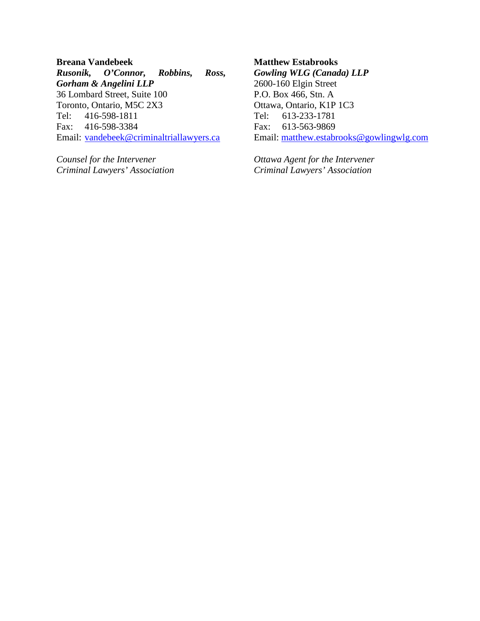**Breana Vandebeek** *Rusonik, O'Connor, Robbins, Ross, Gorham & Angelini LLP* 36 Lombard Street, Suite 100 Toronto, Ontario, M5C 2X3 Tel: 416-598-1811 Fax: 416-598-3384 Email: [vandebeek@criminaltriallawyers.ca](mailto:vandebeek@criminaltriallawyers.ca)

*Counsel for the Intervener Criminal Lawyers' Association*

### **Matthew Estabrooks** *Gowling WLG (Canada) LLP* 2600-160 Elgin Street P.O. Box 466, Stn. A Ottawa, Ontario, K1P 1C3 Tel: 613-233-1781 Fax: 613-563-9869 Email: [matthew.estabrooks@gowlingwlg.com](mailto:matthew.estabrooks@gowlingwlg.com)

*Ottawa Agent for the Intervener Criminal Lawyers' Association*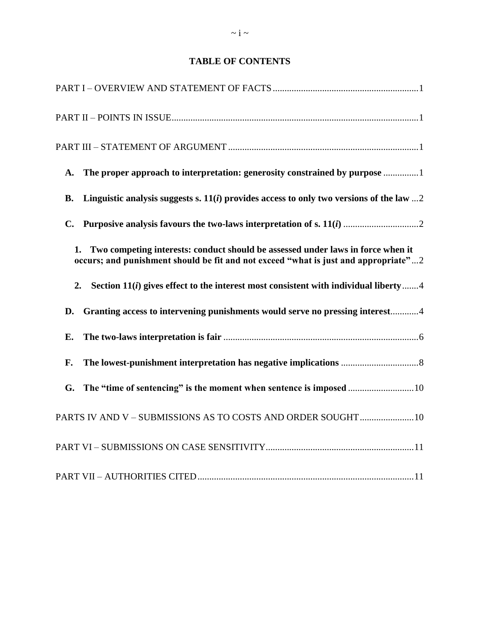## **TABLE OF CONTENTS**

| A.             | The proper approach to interpretation: generosity constrained by purpose 1                                                                                                   |
|----------------|------------------------------------------------------------------------------------------------------------------------------------------------------------------------------|
| <b>B.</b>      | Linguistic analysis suggests s. $11(i)$ provides access to only two versions of the law  2                                                                                   |
| $\mathbf{C}$ . |                                                                                                                                                                              |
|                | Two competing interests: conduct should be assessed under laws in force when it<br>1.<br>occurs; and punishment should be fit and not exceed "what is just and appropriate"2 |
| 2.             | Section $11(i)$ gives effect to the interest most consistent with individual liberty 4                                                                                       |
| D.             | Granting access to intervening punishments would serve no pressing interest4                                                                                                 |
| Е.             |                                                                                                                                                                              |
| F.             |                                                                                                                                                                              |
| G.             |                                                                                                                                                                              |
|                | PARTS IV AND V - SUBMISSIONS AS TO COSTS AND ORDER SOUGHT10                                                                                                                  |
|                |                                                                                                                                                                              |
|                |                                                                                                                                                                              |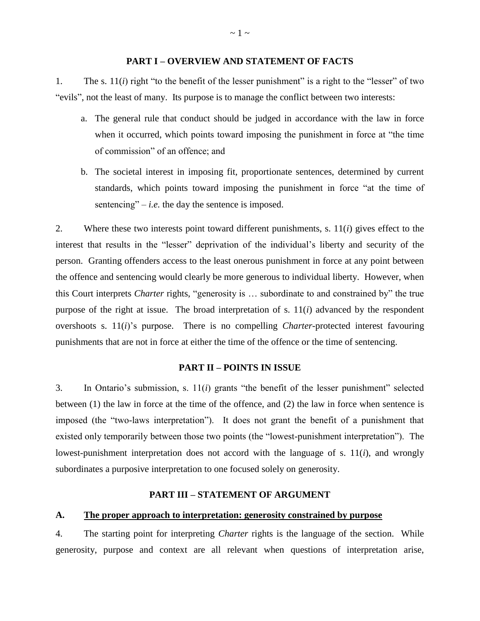#### **PART I – OVERVIEW AND STATEMENT OF FACTS**

<span id="page-4-0"></span>1. The s. 11(*i*) right "to the benefit of the lesser punishment" is a right to the "lesser" of two "evils", not the least of many. Its purpose is to manage the conflict between two interests:

- a. The general rule that conduct should be judged in accordance with the law in force when it occurred, which points toward imposing the punishment in force at "the time of commission" of an offence; and
- b. The societal interest in imposing fit, proportionate sentences, determined by current standards, which points toward imposing the punishment in force "at the time of sentencing"  $-i.e.$  the day the sentence is imposed.

2. Where these two interests point toward different punishments, s. 11(*i*) gives effect to the interest that results in the "lesser" deprivation of the individual's liberty and security of the person. Granting offenders access to the least onerous punishment in force at any point between the offence and sentencing would clearly be more generous to individual liberty. However, when this Court interprets *Charter* rights, "generosity is … subordinate to and constrained by" the true purpose of the right at issue. The broad interpretation of s. 11(*i*) advanced by the respondent overshoots s. 11(*i*)'s purpose. There is no compelling *Charter*-protected interest favouring punishments that are not in force at either the time of the offence or the time of sentencing.

#### **PART II – POINTS IN ISSUE**

<span id="page-4-1"></span>3. In Ontario's submission, s. 11(*i*) grants "the benefit of the lesser punishment" selected between (1) the law in force at the time of the offence, and (2) the law in force when sentence is imposed (the "two-laws interpretation"). It does not grant the benefit of a punishment that existed only temporarily between those two points (the "lowest-punishment interpretation"). The lowest-punishment interpretation does not accord with the language of s. 11(*i*), and wrongly subordinates a purposive interpretation to one focused solely on generosity.

#### **PART III – STATEMENT OF ARGUMENT**

#### <span id="page-4-3"></span><span id="page-4-2"></span>**A. The proper approach to interpretation: generosity constrained by purpose**

4. The starting point for interpreting *Charter* rights is the language of the section. While generosity, purpose and context are all relevant when questions of interpretation arise,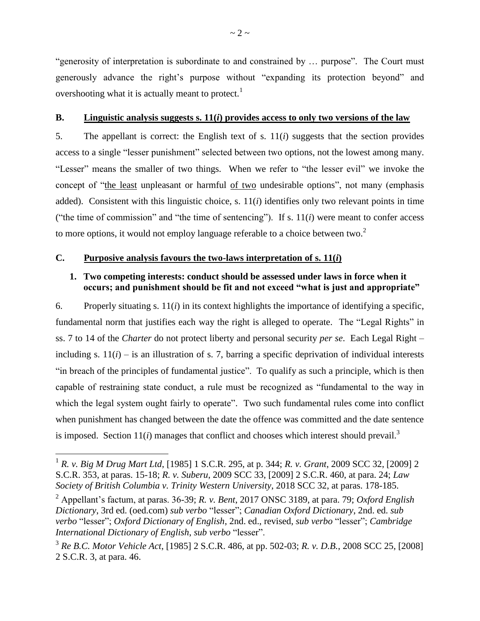"generosity of interpretation is subordinate to and constrained by … purpose". The Court must generously advance the right's purpose without "expanding its protection beyond" and overshooting what it is actually meant to protect.<sup>1</sup>

#### <span id="page-5-0"></span>**B. Linguistic analysis suggests s. 11(***i***) provides access to only two versions of the law**

5. The appellant is correct: the English text of s. 11(*i*) suggests that the section provides access to a single "lesser punishment" selected between two options, not the lowest among many. "Lesser" means the smaller of two things. When we refer to "the lesser evil" we invoke the concept of "the least unpleasant or harmful of two undesirable options", not many (emphasis added). Consistent with this linguistic choice, s. 11(*i*) identifies only two relevant points in time ("the time of commission" and "the time of sentencing"). If s. 11(*i*) were meant to confer access to more options, it would not employ language referable to a choice between two.<sup>2</sup>

### <span id="page-5-2"></span><span id="page-5-1"></span>**C. Purposive analysis favours the two-laws interpretation of s. 11(***i***)**

### **1. Two competing interests: conduct should be assessed under laws in force when it occurs; and punishment should be fit and not exceed "what is just and appropriate"**

6. Properly situating s. 11(*i*) in its context highlights the importance of identifying a specific, fundamental norm that justifies each way the right is alleged to operate. The "Legal Rights" in ss. 7 to 14 of the *Charter* do not protect liberty and personal security *per se*. Each Legal Right – including s.  $11(i)$  – is an illustration of s. 7, barring a specific deprivation of individual interests "in breach of the principles of fundamental justice". To qualify as such a principle, which is then capable of restraining state conduct, a rule must be recognized as "fundamental to the way in which the legal system ought fairly to operate". Two such fundamental rules come into conflict when punishment has changed between the date the offence was committed and the date sentence is imposed. Section  $11(i)$  manages that conflict and chooses which interest should prevail.<sup>3</sup>

 1 *R. v. Big M Drug Mart Ltd*, [1985] 1 S.C.R. 295, at p. 344; *R. v. Grant*, 2009 SCC 32, [2009] 2 S.C.R. 353, at paras. 15-18; *R. v. Suberu*, 2009 SCC 33, [2009] 2 S.C.R. 460, at para. 24; *Law Society of British Columbia v. Trinity Western University*, 2018 SCC 32, at paras. 178-185.

<sup>2</sup> Appellant's factum, at paras. 36-39; *R. v. Bent*, 2017 ONSC 3189, at para. 79; *Oxford English Dictionary*, 3rd ed. (oed.com) *sub verbo* "lesser"; *Canadian Oxford Dictionary*, 2nd. ed. *sub verbo* "lesser"; *Oxford Dictionary of English*, 2nd. ed., revised, *sub verbo* "lesser"; *Cambridge International Dictionary of English*, *sub verbo* "lesser".

<sup>3</sup> *Re B.C. Motor Vehicle Act*, [1985] 2 S.C.R. 486, at pp. 502-03; *R. v. D.B.*, 2008 SCC 25, [2008] 2 S.C.R. 3, at para. 46.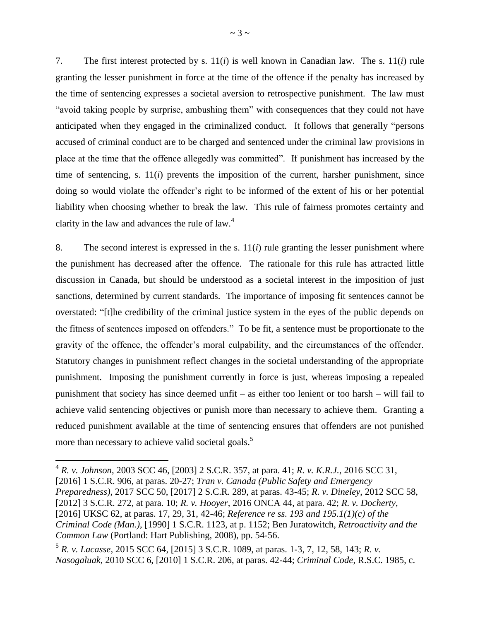7. The first interest protected by s. 11(*i*) is well known in Canadian law. The s. 11(*i*) rule granting the lesser punishment in force at the time of the offence if the penalty has increased by the time of sentencing expresses a societal aversion to retrospective punishment. The law must "avoid taking people by surprise, ambushing them" with consequences that they could not have anticipated when they engaged in the criminalized conduct. It follows that generally "persons accused of criminal conduct are to be charged and sentenced under the criminal law provisions in place at the time that the offence allegedly was committed". If punishment has increased by the time of sentencing, s.  $11(i)$  prevents the imposition of the current, harsher punishment, since doing so would violate the offender's right to be informed of the extent of his or her potential liability when choosing whether to break the law. This rule of fairness promotes certainty and clarity in the law and advances the rule of law.<sup>4</sup>

8. The second interest is expressed in the s.  $11(i)$  rule granting the lesser punishment where the punishment has decreased after the offence. The rationale for this rule has attracted little discussion in Canada, but should be understood as a societal interest in the imposition of just sanctions, determined by current standards. The importance of imposing fit sentences cannot be overstated: "[t]he credibility of the criminal justice system in the eyes of the public depends on the fitness of sentences imposed on offenders." To be fit, a sentence must be proportionate to the gravity of the offence, the offender's moral culpability, and the circumstances of the offender. Statutory changes in punishment reflect changes in the societal understanding of the appropriate punishment. Imposing the punishment currently in force is just, whereas imposing a repealed punishment that society has since deemed unfit – as either too lenient or too harsh – will fail to achieve valid sentencing objectives or punish more than necessary to achieve them. Granting a reduced punishment available at the time of sentencing ensures that offenders are not punished more than necessary to achieve valid societal goals.<sup>5</sup>

 4 *R. v. Johnson*, 2003 SCC 46, [2003] 2 S.C.R. 357, at para. 41; *R. v. K.R.J.*, 2016 SCC 31, [2016] 1 S.C.R. 906, at paras. 20-27; *Tran v. Canada (Public Safety and Emergency Preparedness)*, 2017 SCC 50, [2017] 2 S.C.R. 289, at paras. 43-45; *R. v. Dineley*, 2012 SCC 58, [2012] 3 S.C.R. 272, at para. 10; *R. v. Hooyer*, 2016 ONCA 44, at para. 42; *R. v. Docherty*, [2016] UKSC 62, at paras. 17, 29, 31, 42-46; *Reference re ss. 193 and 195.1(1)(c) of the Criminal Code (Man.)*, [1990] 1 S.C.R. 1123, at p. 1152; Ben Juratowitch, *Retroactivity and the Common Law* (Portland: Hart Publishing, 2008), pp. 54-56.

<sup>5</sup> *R. v. Lacasse*, 2015 SCC 64, [2015] 3 S.C.R. 1089, at paras. 1-3, 7, 12, 58, 143; *R. v. Nasogaluak*, 2010 SCC 6, [2010] 1 S.C.R. 206, at paras. 42-44; *Criminal Code*, R.S.C. 1985, c.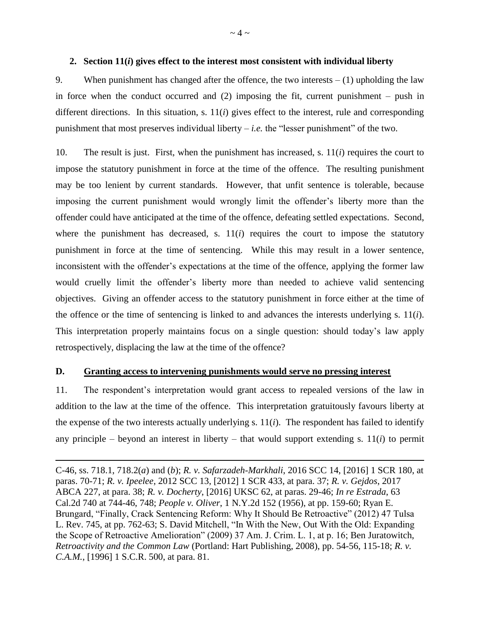#### <span id="page-7-0"></span>**2. Section 11(***i***) gives effect to the interest most consistent with individual liberty**

9. When punishment has changed after the offence, the two interests  $- (1)$  upholding the law in force when the conduct occurred and  $(2)$  imposing the fit, current punishment – push in different directions. In this situation, s. 11(*i*) gives effect to the interest, rule and corresponding punishment that most preserves individual liberty  $-i.e.$  the "lesser punishment" of the two.

10. The result is just. First, when the punishment has increased, s. 11(*i*) requires the court to impose the statutory punishment in force at the time of the offence. The resulting punishment may be too lenient by current standards. However, that unfit sentence is tolerable, because imposing the current punishment would wrongly limit the offender's liberty more than the offender could have anticipated at the time of the offence, defeating settled expectations. Second, where the punishment has decreased, s.  $11(i)$  requires the court to impose the statutory punishment in force at the time of sentencing. While this may result in a lower sentence, inconsistent with the offender's expectations at the time of the offence, applying the former law would cruelly limit the offender's liberty more than needed to achieve valid sentencing objectives. Giving an offender access to the statutory punishment in force either at the time of the offence or the time of sentencing is linked to and advances the interests underlying s. 11(*i*). This interpretation properly maintains focus on a single question: should today's law apply retrospectively, displacing the law at the time of the offence?

#### <span id="page-7-1"></span>**D. Granting access to intervening punishments would serve no pressing interest**

 $\overline{a}$ 

11. The respondent's interpretation would grant access to repealed versions of the law in addition to the law at the time of the offence. This interpretation gratuitously favours liberty at the expense of the two interests actually underlying s. 11(*i*). The respondent has failed to identify any principle – beyond an interest in liberty – that would support extending s.  $11(i)$  to permit

C-46, ss. 718.1, 718.2(*a*) and (*b*); *R. v. Safarzadeh-Markhali*, 2016 SCC 14, [2016] 1 SCR 180, at paras. 70-71; *R. v. Ipeelee*, 2012 SCC 13, [2012] 1 SCR 433, at para. 37; *R. v. Gejdos*, 2017 ABCA 227, at para. 38; *R. v. Docherty*, [2016] UKSC 62, at paras. 29-46; *In re Estrada*, 63 Cal.2d 740 at 744-46, 748; *People v. Oliver*, 1 N.Y.2d 152 (1956), at pp. 159-60; Ryan E. Brungard, "Finally, Crack Sentencing Reform: Why It Should Be Retroactive" (2012) 47 Tulsa L. Rev. 745, at pp. 762-63; S. David Mitchell, "In With the New, Out With the Old: Expanding the Scope of Retroactive Amelioration" (2009) 37 Am. J. Crim. L. 1, at p. 16; Ben Juratowitch, *Retroactivity and the Common Law* (Portland: Hart Publishing, 2008), pp. 54-56, 115-18; *R. v. C.A.M.*, [1996] 1 S.C.R. 500, at para. 81.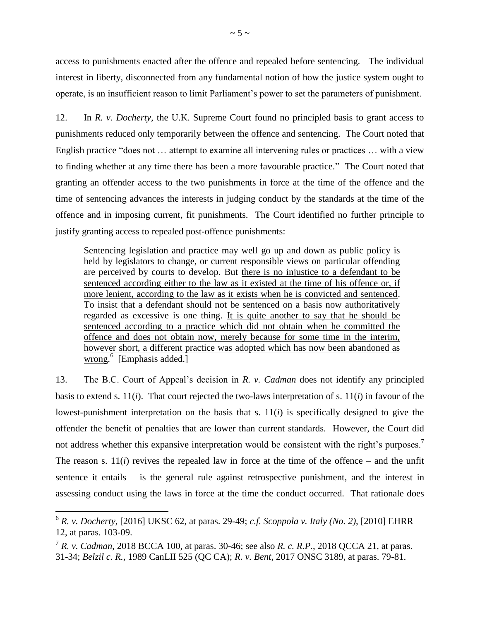access to punishments enacted after the offence and repealed before sentencing.The individual interest in liberty, disconnected from any fundamental notion of how the justice system ought to operate, is an insufficient reason to limit Parliament's power to set the parameters of punishment.

12. In *R. v. Docherty*, the U.K. Supreme Court found no principled basis to grant access to punishments reduced only temporarily between the offence and sentencing. The Court noted that English practice "does not … attempt to examine all intervening rules or practices … with a view to finding whether at any time there has been a more favourable practice." The Court noted that granting an offender access to the two punishments in force at the time of the offence and the time of sentencing advances the interests in judging conduct by the standards at the time of the offence and in imposing current, fit punishments. The Court identified no further principle to justify granting access to repealed post-offence punishments:

Sentencing legislation and practice may well go up and down as public policy is held by legislators to change, or current responsible views on particular offending are perceived by courts to develop. But there is no injustice to a defendant to be sentenced according either to the law as it existed at the time of his offence or, if more lenient, according to the law as it exists when he is convicted and sentenced. To insist that a defendant should not be sentenced on a basis now authoritatively regarded as excessive is one thing. It is quite another to say that he should be sentenced according to a practice which did not obtain when he committed the offence and does not obtain now, merely because for some time in the interim, however short, a different practice was adopted which has now been abandoned as wrong.<sup>6</sup> [Emphasis added.]

13. The B.C. Court of Appeal's decision in *R. v. Cadman* does not identify any principled basis to extend s. 11(*i*). That court rejected the two-laws interpretation of s. 11(*i*) in favour of the lowest-punishment interpretation on the basis that s.  $11(i)$  is specifically designed to give the offender the benefit of penalties that are lower than current standards. However, the Court did not address whether this expansive interpretation would be consistent with the right's purposes.<sup>7</sup> The reason s.  $11(i)$  revives the repealed law in force at the time of the offence – and the unfit sentence it entails – is the general rule against retrospective punishment, and the interest in assessing conduct using the laws in force at the time the conduct occurred. That rationale does

<sup>6</sup> *R. v. Docherty*, [2016] UKSC 62, at paras. 29-49; *c.f. Scoppola v. Italy (No. 2)*, [2010] EHRR 12, at paras. 103-09.

<sup>7</sup> *R. v. Cadman*, 2018 BCCA 100, at paras. 30-46; see also *R. c. R.P.*, 2018 QCCA 21, at paras. 31-34; *Belzil c. R.*, 1989 CanLII 525 (QC CA); *R. v. Bent*, 2017 ONSC 3189, at paras. 79-81.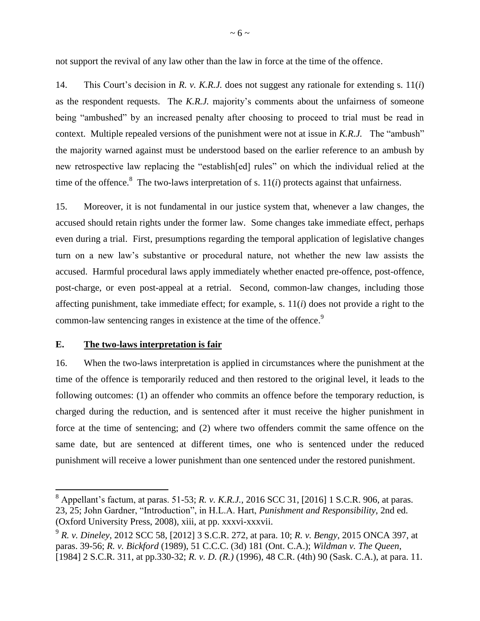not support the revival of any law other than the law in force at the time of the offence.

14. This Court's decision in *R. v. K.R.J.* does not suggest any rationale for extending s. 11(*i*) as the respondent requests. The *K.R.J.* majority's comments about the unfairness of someone being "ambushed" by an increased penalty after choosing to proceed to trial must be read in context. Multiple repealed versions of the punishment were not at issue in *K.R.J.* The "ambush" the majority warned against must be understood based on the earlier reference to an ambush by new retrospective law replacing the "establish[ed] rules" on which the individual relied at the time of the offence.<sup>8</sup> The two-laws interpretation of s.  $11(i)$  protects against that unfairness.

15. Moreover, it is not fundamental in our justice system that, whenever a law changes, the accused should retain rights under the former law. Some changes take immediate effect, perhaps even during a trial. First, presumptions regarding the temporal application of legislative changes turn on a new law's substantive or procedural nature, not whether the new law assists the accused. Harmful procedural laws apply immediately whether enacted pre-offence, post-offence, post-charge, or even post-appeal at a retrial. Second, common-law changes, including those affecting punishment, take immediate effect; for example, s.  $11(i)$  does not provide a right to the common-law sentencing ranges in existence at the time of the offence.<sup>9</sup>

#### <span id="page-9-0"></span>**E. The two-laws interpretation is fair**

 $\overline{a}$ 

16. When the two-laws interpretation is applied in circumstances where the punishment at the time of the offence is temporarily reduced and then restored to the original level, it leads to the following outcomes: (1) an offender who commits an offence before the temporary reduction, is charged during the reduction, and is sentenced after it must receive the higher punishment in force at the time of sentencing; and (2) where two offenders commit the same offence on the same date, but are sentenced at different times, one who is sentenced under the reduced punishment will receive a lower punishment than one sentenced under the restored punishment.

<sup>8</sup> Appellant's factum, at paras. 51-53; *R. v. K.R.J.*, 2016 SCC 31, [2016] 1 S.C.R. 906, at paras. 23, 25; John Gardner, "Introduction", in H.L.A. Hart, *Punishment and Responsibility*, 2nd ed. (Oxford University Press, 2008), xiii, at pp. xxxvi-xxxvii.

<sup>9</sup> *R. v. Dineley*, 2012 SCC 58, [2012] 3 S.C.R. 272, at para. 10; *R. v. Bengy*, 2015 ONCA 397, at paras. 39-56; *R. v. Bickford* (1989), 51 C.C.C. (3d) 181 (Ont. C.A.); *Wildman v. The Queen*, [1984] 2 S.C.R. 311, at pp.330-32; *R. v. D. (R.)* (1996), 48 C.R. (4th) 90 (Sask. C.A.), at para. 11.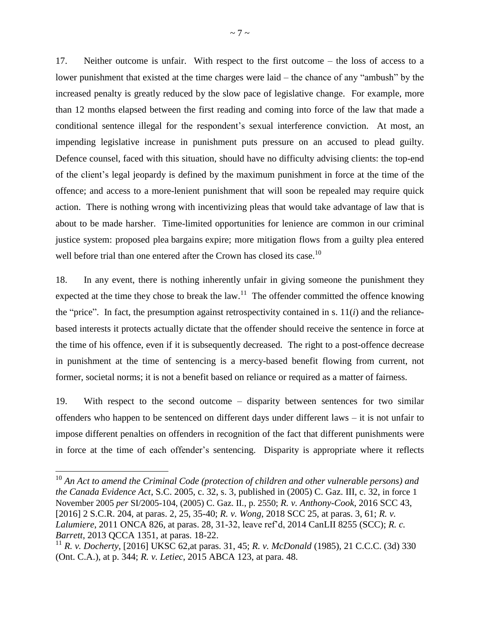17. Neither outcome is unfair. With respect to the first outcome – the loss of access to a lower punishment that existed at the time charges were laid – the chance of any "ambush" by the increased penalty is greatly reduced by the slow pace of legislative change. For example, more than 12 months elapsed between the first reading and coming into force of the law that made a conditional sentence illegal for the respondent's sexual interference conviction. At most, an impending legislative increase in punishment puts pressure on an accused to plead guilty. Defence counsel, faced with this situation, should have no difficulty advising clients: the top-end of the client's legal jeopardy is defined by the maximum punishment in force at the time of the offence; and access to a more-lenient punishment that will soon be repealed may require quick action. There is nothing wrong with incentivizing pleas that would take advantage of law that is about to be made harsher. Time-limited opportunities for lenience are common in our criminal justice system: proposed plea bargains expire; more mitigation flows from a guilty plea entered well before trial than one entered after the Crown has closed its case.<sup>10</sup>

18. In any event, there is nothing inherently unfair in giving someone the punishment they expected at the time they chose to break the law.<sup>11</sup> The offender committed the offence knowing the "price". In fact, the presumption against retrospectivity contained in s.  $11(i)$  and the reliancebased interests it protects actually dictate that the offender should receive the sentence in force at the time of his offence, even if it is subsequently decreased. The right to a post-offence decrease in punishment at the time of sentencing is a mercy-based benefit flowing from current, not former, societal norms; it is not a benefit based on reliance or required as a matter of fairness.

19. With respect to the second outcome – disparity between sentences for two similar offenders who happen to be sentenced on different days under different laws – it is not unfair to impose different penalties on offenders in recognition of the fact that different punishments were in force at the time of each offender's sentencing. Disparity is appropriate where it reflects

<sup>10</sup> *An Act to amend the Criminal Code (protection of children and other vulnerable persons) and the Canada Evidence Act*, S.C. 2005, c. 32, s. 3, published in (2005) C. Gaz. III, c. 32, in force 1 November 2005 *per* SI/2005-104, (2005) C. Gaz. II., p. 2550; *R. v. Anthony-Cook*, 2016 SCC 43, [2016] 2 S.C.R. 204, at paras. 2, 25, 35-40; *R. v. Wong*, 2018 SCC 25, at paras. 3, 61; *R. v. Lalumiere*, 2011 ONCA 826, at paras. 28, 31-32, leave ref'd, 2014 CanLII 8255 (SCC); *R. c. Barrett*, 2013 QCCA 1351, at paras. 18-22.

<sup>11</sup> *R. v. Docherty*, [2016] UKSC 62,at paras. 31, 45; *R. v. McDonald* (1985), 21 C.C.C. (3d) 330 (Ont. C.A.), at p. 344; *R. v. Letiec*, 2015 ABCA 123, at para. 48.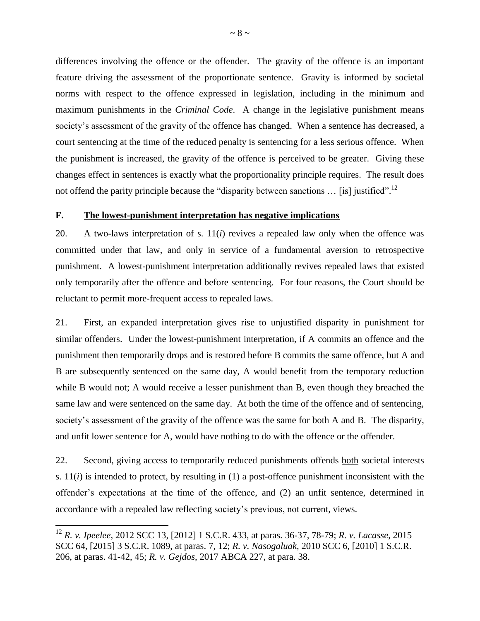differences involving the offence or the offender. The gravity of the offence is an important feature driving the assessment of the proportionate sentence. Gravity is informed by societal norms with respect to the offence expressed in legislation, including in the minimum and maximum punishments in the *Criminal Code*. A change in the legislative punishment means society's assessment of the gravity of the offence has changed. When a sentence has decreased, a court sentencing at the time of the reduced penalty is sentencing for a less serious offence. When the punishment is increased, the gravity of the offence is perceived to be greater. Giving these changes effect in sentences is exactly what the proportionality principle requires. The result does not offend the parity principle because the "disparity between sanctions  $\ldots$  [is] justified".<sup>12</sup>

#### <span id="page-11-0"></span>**F. The lowest-punishment interpretation has negative implications**

20. A two-laws interpretation of s. 11(*i*) revives a repealed law only when the offence was committed under that law, and only in service of a fundamental aversion to retrospective punishment. A lowest-punishment interpretation additionally revives repealed laws that existed only temporarily after the offence and before sentencing. For four reasons, the Court should be reluctant to permit more-frequent access to repealed laws.

21. First, an expanded interpretation gives rise to unjustified disparity in punishment for similar offenders. Under the lowest-punishment interpretation, if A commits an offence and the punishment then temporarily drops and is restored before B commits the same offence, but A and B are subsequently sentenced on the same day, A would benefit from the temporary reduction while B would not; A would receive a lesser punishment than B, even though they breached the same law and were sentenced on the same day. At both the time of the offence and of sentencing, society's assessment of the gravity of the offence was the same for both A and B. The disparity, and unfit lower sentence for A, would have nothing to do with the offence or the offender.

22. Second, giving access to temporarily reduced punishments offends both societal interests s.  $11(i)$  is intended to protect, by resulting in (1) a post-offence punishment inconsistent with the offender's expectations at the time of the offence, and (2) an unfit sentence, determined in accordance with a repealed law reflecting society's previous, not current, views.

<sup>12</sup> *R. v. Ipeelee*, 2012 SCC 13, [2012] 1 S.C.R. 433, at paras. 36-37, 78-79; *R. v. Lacasse*, 2015 SCC 64, [2015] 3 S.C.R. 1089, at paras. 7, 12; *R. v. Nasogaluak*, 2010 SCC 6, [2010] 1 S.C.R. 206, at paras. 41-42, 45; *R. v. Gejdos*, 2017 ABCA 227, at para. 38.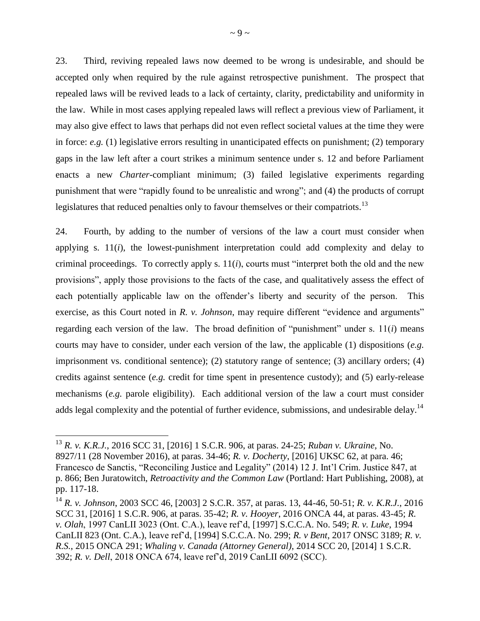23. Third, reviving repealed laws now deemed to be wrong is undesirable, and should be accepted only when required by the rule against retrospective punishment. The prospect that repealed laws will be revived leads to a lack of certainty, clarity, predictability and uniformity in the law. While in most cases applying repealed laws will reflect a previous view of Parliament, it may also give effect to laws that perhaps did not even reflect societal values at the time they were in force: *e.g.* (1) legislative errors resulting in unanticipated effects on punishment; (2) temporary gaps in the law left after a court strikes a minimum sentence under s. 12 and before Parliament enacts a new *Charter*-compliant minimum; (3) failed legislative experiments regarding punishment that were "rapidly found to be unrealistic and wrong"; and (4) the products of corrupt legislatures that reduced penalties only to favour themselves or their compatriots.<sup>13</sup>

24. Fourth, by adding to the number of versions of the law a court must consider when applying s.  $11(i)$ , the lowest-punishment interpretation could add complexity and delay to criminal proceedings. To correctly apply s. 11(*i*), courts must "interpret both the old and the new provisions", apply those provisions to the facts of the case, and qualitatively assess the effect of each potentially applicable law on the offender's liberty and security of the person. This exercise, as this Court noted in *R. v. Johnson*, may require different "evidence and arguments" regarding each version of the law. The broad definition of "punishment" under s.  $11(i)$  means courts may have to consider, under each version of the law, the applicable (1) dispositions (*e.g.* imprisonment vs. conditional sentence); (2) statutory range of sentence; (3) ancillary orders; (4) credits against sentence (*e.g.* credit for time spent in presentence custody); and (5) early-release mechanisms (*e.g.* parole eligibility). Each additional version of the law a court must consider adds legal complexity and the potential of further evidence, submissions, and undesirable delay.<sup>14</sup>

<sup>13</sup> *R. v. K.R.J.*, 2016 SCC 31, [2016] 1 S.C.R. 906, at paras. 24-25; *Ruban v. Ukraine*, No. 8927/11 (28 November 2016), at paras. 34-46; *R. v. Docherty*, [2016] UKSC 62, at para. 46; Francesco de Sanctis, "Reconciling Justice and Legality" (2014) 12 J. Int'l Crim. Justice 847, at p. 866; Ben Juratowitch, *Retroactivity and the Common Law* (Portland: Hart Publishing, 2008), at pp. 117-18.

<sup>14</sup> *R. v. Johnson*, 2003 SCC 46, [2003] 2 S.C.R. 357, at paras. 13, 44-46, 50-51; *R. v. K.R.J.*, 2016 SCC 31, [2016] 1 S.C.R. 906, at paras. 35-42; *R. v. Hooyer*, 2016 ONCA 44, at paras. 43-45; *R. v. Olah*, 1997 CanLII 3023 (Ont. C.A.), leave ref'd, [1997] S.C.C.A. No. 549; *R. v. Luke*, 1994 CanLII 823 (Ont. C.A.), leave ref'd, [1994] S.C.C.A. No. 299; *R. v Bent*, 2017 ONSC 3189; *R. v. R.S.*, 2015 ONCA 291; *Whaling v. Canada (Attorney General)*, 2014 SCC 20, [2014] 1 S.C.R. 392; *R. v. Dell*, 2018 ONCA 674, leave ref'd, 2019 CanLII 6092 (SCC).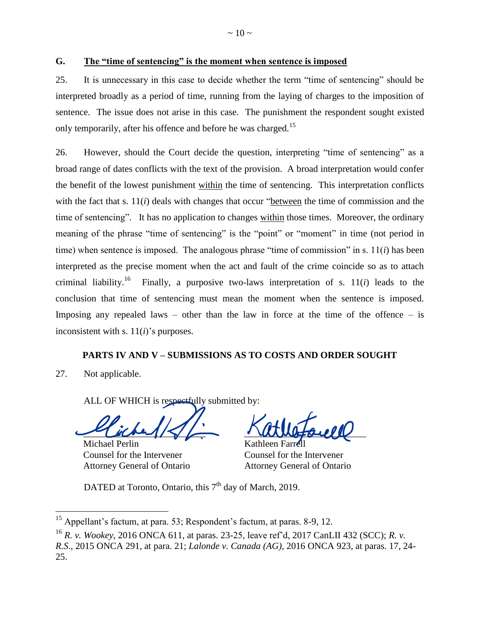<span id="page-13-0"></span>**G. The "time of sentencing" is the moment when sentence is imposed** 

25. It is unnecessary in this case to decide whether the term "time of sentencing" should be interpreted broadly as a period of time, running from the laying of charges to the imposition of sentence. The issue does not arise in this case. The punishment the respondent sought existed only temporarily, after his offence and before he was charged.<sup>15</sup>

26. However, should the Court decide the question, interpreting "time of sentencing" as a broad range of dates conflicts with the text of the provision. A broad interpretation would confer the benefit of the lowest punishment within the time of sentencing. This interpretation conflicts with the fact that s. 11(*i*) deals with changes that occur "between the time of commission and the time of sentencing". It has no application to changes within those times. Moreover, the ordinary meaning of the phrase "time of sentencing" is the "point" or "moment" in time (not period in time) when sentence is imposed. The analogous phrase "time of commission" in s.  $11(i)$  has been interpreted as the precise moment when the act and fault of the crime coincide so as to attach criminal liability.<sup>16</sup> Finally, a purposive two-laws interpretation of s. 11(*i*) leads to the conclusion that time of sentencing must mean the moment when the sentence is imposed. Imposing any repealed laws – other than the law in force at the time of the offence – is inconsistent with s. 11(*i*)'s purposes.

#### **PARTS IV AND V – SUBMISSIONS AS TO COSTS AND ORDER SOUGHT**

<span id="page-13-1"></span>27. Not applicable.

 $\overline{a}$ 

ALL OF WHICH is respectfully submitted by:

 $\sim$ 

Michael Perlin Counsel for the Intervener Attorney General of Ontario

 $\overline{\mathcal{L}}$ 

Kathleen Farrell Counsel for the Intervener Attorney General of Ontario

DATED at Toronto, Ontario, this 7<sup>th</sup> day of March, 2019.

<sup>&</sup>lt;sup>15</sup> Appellant's factum, at para. 53; Respondent's factum, at paras. 8-9, 12.

<sup>16</sup> *R. v. Wookey*, 2016 ONCA 611, at paras. 23-25, leave ref'd, 2017 CanLII 432 (SCC); *R. v. R.S*., 2015 ONCA 291, at para. 21; *Lalonde v. Canada (AG)*, 2016 ONCA 923, at paras. 17, 24- 25.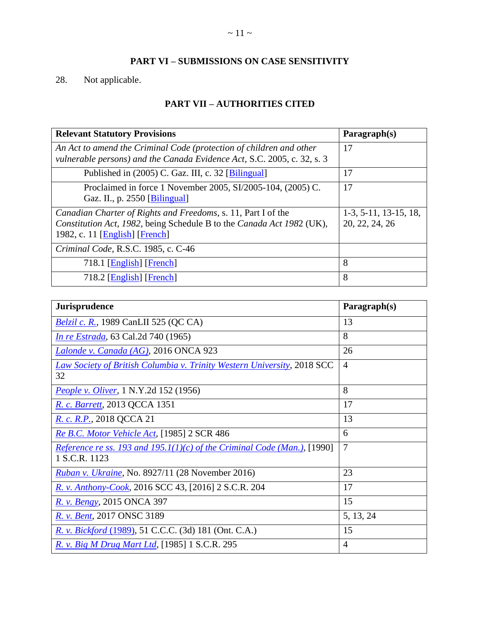## **PART VI – SUBMISSIONS ON CASE SENSITIVITY**

# <span id="page-14-1"></span><span id="page-14-0"></span>28. Not applicable.

## **PART VII – AUTHORITIES CITED**

| <b>Relevant Statutory Provisions</b>                                                                                                                                     | Paragnh(s)                                |
|--------------------------------------------------------------------------------------------------------------------------------------------------------------------------|-------------------------------------------|
| An Act to amend the Criminal Code (protection of children and other<br>vulnerable persons) and the Canada Evidence Act, S.C. 2005, c. 32, s. 3                           | 17                                        |
| Published in (2005) C. Gaz. III, c. 32 [Bilingual]                                                                                                                       | 17                                        |
| Proclaimed in force 1 November 2005, SI/2005-104, (2005) C.<br>Gaz. II., p. 2550 [Bilingual]                                                                             | 17                                        |
| Canadian Charter of Rights and Freedoms, s. 11, Part I of the<br>Constitution Act, 1982, being Schedule B to the Canada Act 1982 (UK),<br>1982, c. 11 [English] [French] | $1-3, 5-11, 13-15, 18,$<br>20, 22, 24, 26 |
| Criminal Code, R.S.C. 1985, c. C-46                                                                                                                                      |                                           |
| 718.1 [ $English$ ] [French]                                                                                                                                             | 8                                         |
| 718.2 [English] [French]                                                                                                                                                 | 8                                         |

| <b>Jurisprudence</b>                                                                      | Paragraph(s)   |
|-------------------------------------------------------------------------------------------|----------------|
| <i>Belzil c. R.</i> , 1989 CanLII 525 (QC CA)                                             | 13             |
| <i>In re Estrada</i> , 63 Cal.2d 740 (1965)                                               | 8              |
| Lalonde v. Canada (AG), 2016 ONCA 923                                                     | 26             |
| <b>Law Society of British Columbia v. Trinity Western University, 2018 SCC</b><br>32      | $\overline{4}$ |
| People v. Oliver, 1 N.Y.2d 152 (1956)                                                     | 8              |
| R. c. Barrett, 2013 QCCA 1351                                                             | 17             |
| R. c. R.P., 2018 QCCA 21                                                                  | 13             |
| Re B.C. Motor Vehicle Act, [1985] 2 SCR 486                                               | 6              |
| Reference re ss. 193 and 195.1(1)(c) of the Criminal Code (Man.), [1990]<br>1 S.C.R. 1123 | $\overline{7}$ |
| Ruban v. Ukraine, No. 8927/11 (28 November 2016)                                          | 23             |
| R. v. Anthony-Cook, 2016 SCC 43, [2016] 2 S.C.R. 204                                      | 17             |
| R. v. Bengy, 2015 ONCA 397                                                                | 15             |
| R. v. Bent, 2017 ONSC 3189                                                                | 5, 13, 24      |
| R. v. Bickford (1989), 51 C.C.C. (3d) 181 (Ont. C.A.)                                     | 15             |
| R. v. Big M Drug Mart Ltd, [1985] 1 S.C.R. 295                                            | 4              |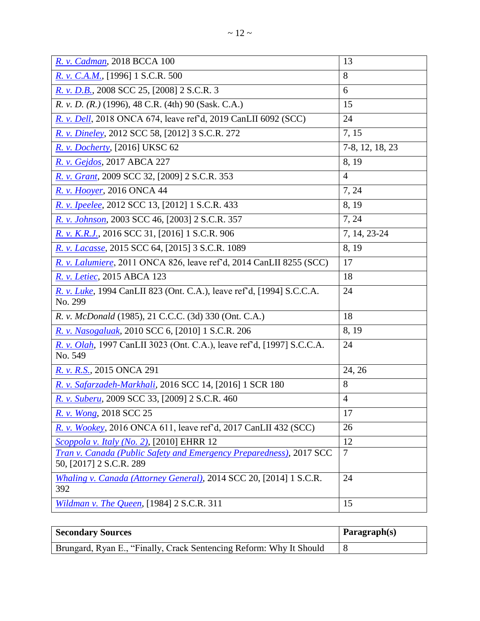| R. v. Cadman, 2018 BCCA 100                                                                    | 13              |
|------------------------------------------------------------------------------------------------|-----------------|
| R. v. C.A.M., [1996] 1 S.C.R. 500                                                              | 8               |
| R. v. D.B., 2008 SCC 25, [2008] 2 S.C.R. 3                                                     | 6               |
| R. v. D. (R.) (1996), 48 C.R. (4th) 90 (Sask. C.A.)                                            | 15              |
| R. v. Dell, 2018 ONCA 674, leave ref'd, 2019 CanLII 6092 (SCC)                                 | 24              |
| R. v. Dineley, 2012 SCC 58, [2012] 3 S.C.R. 272                                                | 7, 15           |
| <i>R. v. Docherty</i> , [2016] UKSC 62                                                         | 7-8, 12, 18, 23 |
| R. v. Gejdos, 2017 ABCA 227                                                                    | 8, 19           |
| R. v. Grant, 2009 SCC 32, [2009] 2 S.C.R. 353                                                  | $\overline{4}$  |
| R. v. Hooyer, 2016 ONCA 44                                                                     | 7, 24           |
| R. v. Ipeelee, 2012 SCC 13, [2012] 1 S.C.R. 433                                                | 8, 19           |
| R. v. Johnson, 2003 SCC 46, [2003] 2 S.C.R. 357                                                | 7, 24           |
| R. v. K.R.J., 2016 SCC 31, [2016] 1 S.C.R. 906                                                 | 7, 14, 23-24    |
| R. v. Lacasse, 2015 SCC 64, [2015] 3 S.C.R. 1089                                               | 8, 19           |
| R. v. Lalumiere, 2011 ONCA 826, leave ref'd, 2014 CanLII 8255 (SCC)                            | 17              |
| R. v. Letiec, 2015 ABCA 123                                                                    | 18              |
| R. v. Luke, 1994 CanLII 823 (Ont. C.A.), leave ref'd, [1994] S.C.C.A.<br>No. 299               | 24              |
| R. v. McDonald (1985), 21 C.C.C. (3d) 330 (Ont. C.A.)                                          | 18              |
| R. v. Nasogaluak, 2010 SCC 6, [2010] 1 S.C.R. 206                                              | 8, 19           |
| R. v. Olah, 1997 CanLII 3023 (Ont. C.A.), leave ref'd, [1997] S.C.C.A.<br>No. 549              | 24              |
| R. v. R.S., 2015 ONCA 291                                                                      | 24, 26          |
| R. v. Safarzadeh-Markhali, 2016 SCC 14, [2016] 1 SCR 180                                       | 8               |
| R. v. Suberu, 2009 SCC 33, [2009] 2 S.C.R. 460                                                 | $\overline{4}$  |
| R. v. Wong, 2018 SCC 25                                                                        | 17              |
| R. v. Wookey, 2016 ONCA 611, leave ref'd, 2017 CanLII 432 (SCC)                                | 26              |
| Scoppola v. Italy (No. 2), [2010] EHRR 12                                                      | 12              |
| Tran v. Canada (Public Safety and Emergency Preparedness), 2017 SCC<br>50, [2017] 2 S.C.R. 289 | $\overline{7}$  |
| Whaling v. Canada (Attorney General), 2014 SCC 20, [2014] 1 S.C.R.<br>392                      | 24              |
| Wildman v. The Queen, [1984] 2 S.C.R. 311                                                      | 15              |

| <b>Secondary Sources</b>                                            | $\mathbf{Paragnh}(s)$ |
|---------------------------------------------------------------------|-----------------------|
| Brungard, Ryan E., "Finally, Crack Sentencing Reform: Why It Should |                       |